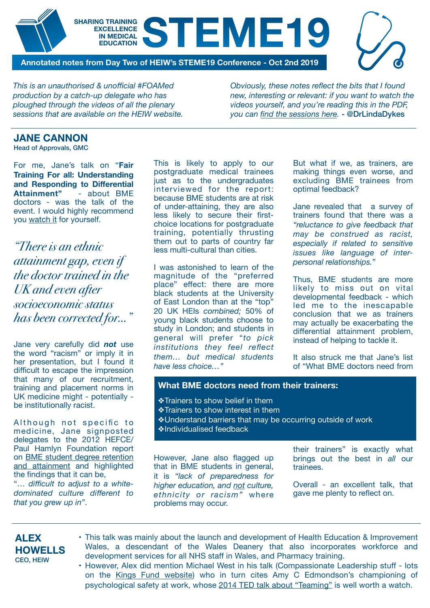### **SHARING TRAINING EXCELLENCE IN MEDICAL**  REDUCATION<br>
EDUCATION

**Annotated notes from Day Two of HEIW's STEME19 Conference - Oct 2nd 2019** 

*This is an unauthorised & unofficial #FOAMed production by a catch-up delegate who has ploughed through the videos of all the plenary sessions that are available on the HEIW website.* 

*Obviously, these notes reflect the bits that I found new, interesting or relevant: if you want to watch the videos yourself, and you're reading this in the PDF, you can [find the sessions here.](https://heiw.nhs.wales/programmes/steme-2019-conference/)* - @DrLindaDykes

# **JANE CANNON**

Head of Approvals, GMC

For me, Jane's talk on "**Fair Training For all: Understanding and Responding to Differential Attainment"** - about BME doctors - was the talk of the event. I would highly recommend you [watch it](https://heiw.nhs.wales/programmes/steme-2019-conference/) for yourself.

*"There is an ethnic attainment gap, even if the doctor trained in the UK and even after socioeconomic status has been corrected for…"* 

Jane very carefully did *not* use the word "racism" or imply it in her presentation, but I found it difficult to escape the impression that many of our recruitment, training and placement norms in UK medicine might - potentially be institutionally racist.

Although not specific to medicine, Jane signposted delegates to the 2012 HEFCE/ Paul Hamlyn Foundation report on [BME student degree retention](https://s3.eu-west-2.amazonaws.com/assets.creode.advancehe-document-manager/documents/hea/private/bme_summit_final_report_1568036653.pdf)  and attainment and highlighted the findings that it can be, "… *difficult to adjust to a whitedominated culture different to that you grew up in"*.

This is likely to apply to our postgraduate medical trainees just as to the undergraduates interviewed for the report: because BME students are at risk of under-attaining, they are also less likely to secure their firstchoice locations for postgraduate training, potentially thrusting them out to parts of country far less multi-cultural than cities.

I was astonished to learn of the magnitude of the "preferred place" effect: there are more black students at the University of East London than at the "top" 20 UK HEIs *combined;* 50% of young black students choose to study in London; and students in general will prefer "*to pick institutions they feel reflect them… but medical students have less choice…"*

But what if we, as trainers, are making things even worse, and excluding BME trainees from optimal feedback?

Jane revealed that a survey of trainers found that there was a *"reluctance to give feedback that may be construed as racist, especially if related to sensitive issues like language of interpersonal relationships.*"

Thus, BME students are more likely to miss out on vital developmental feedback - which led me to the inescapable conclusion that we as trainers may actually be exacerbating the differential attainment problem, instead of helping to tackle it.

It also struck me that Jane's list of "What BME doctors need from

#### **What BME doctors need from their trainers:**

❖Trainers to show belief in them ❖Trainers to show interest in them ❖Understand barriers that may be occurring outside of work ❖Individualised feedback

However, Jane also flagged up that in BME students in general, it is *"lack of preparedness for higher education, and not culture, ethnicity or racism"* where problems may occur.

their trainers" is exactly what brings out the best in *all* our trainees.

Overall - an excellent talk, that gave me plenty to reflect on.

## **ALEX HOWELLS**  CEO, HEIW

- This talk was mainly about the launch and development of Health Education & Improvement Wales, a descendant of the Wales Deanery that also incorporates workforce and development services for all NHS staff in Wales, and Pharmacy training.
- However, Alex did mention Michael West in his talk (Compassionate Leadership stuff lots on the [Kings Fund website\)](https://www.kingsfund.org.uk/about-us/whos-who/michael-west) who in turn cites Amy C Edmondson's championing of psychological safety at work, whose [2014 TED talk about "Teaming"](https://www.ted.com/speakers/amy_edmondson) is well worth a watch.